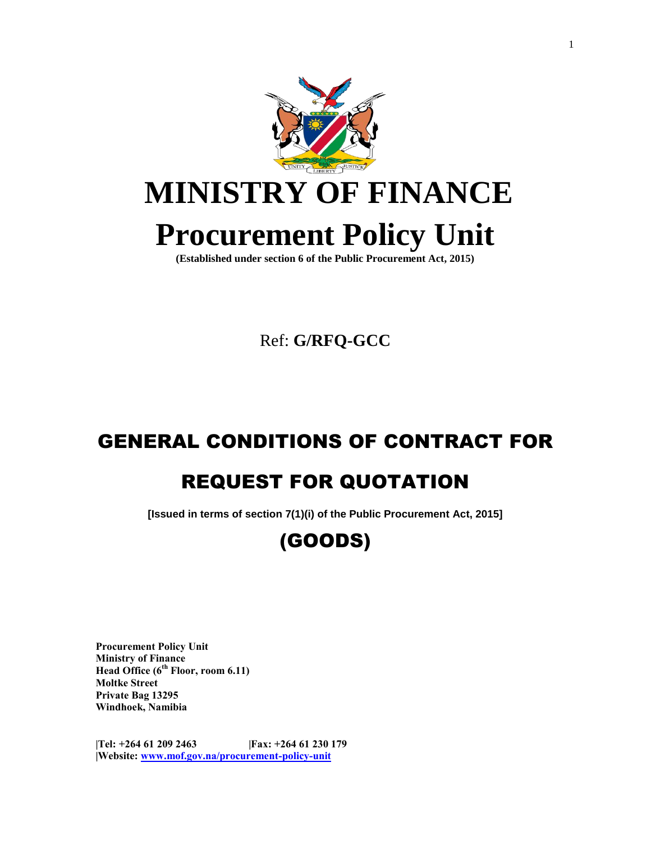

# **MINISTRY OF FINANCE Procurement Policy Unit**

**(Established under section 6 of the Public Procurement Act, 2015)**

Ref: **G/RFQ-GCC**

# GENERAL CONDITIONS OF CONTRACT FOR

# REQUEST FOR QUOTATION

**[Issued in terms of section 7(1)(i) of the Public Procurement Act, 2015]**

# (GOODS)

**Procurement Policy Unit Ministry of Finance Head Office (6th Floor, room 6.11) Moltke Street Private Bag 13295 Windhoek, Namibia**

**|Tel: +264 61 209 2463 |Fax: +264 61 230 179 |Website: [www.mof.gov.na/procurement-policy-unit](http://www.mof.gov.na/procurement-policy-unit)**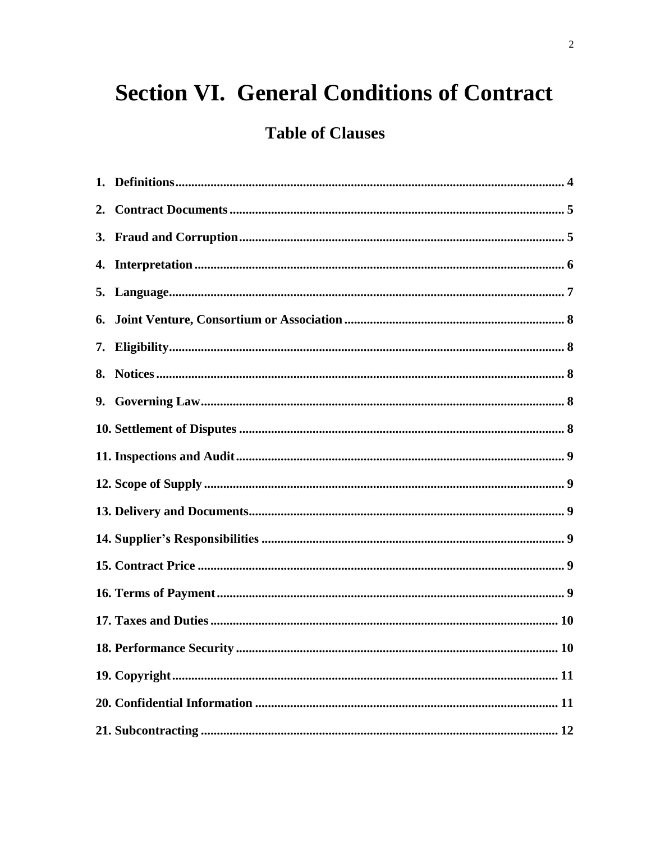# **Section VI. General Conditions of Contract**

### **Table of Clauses**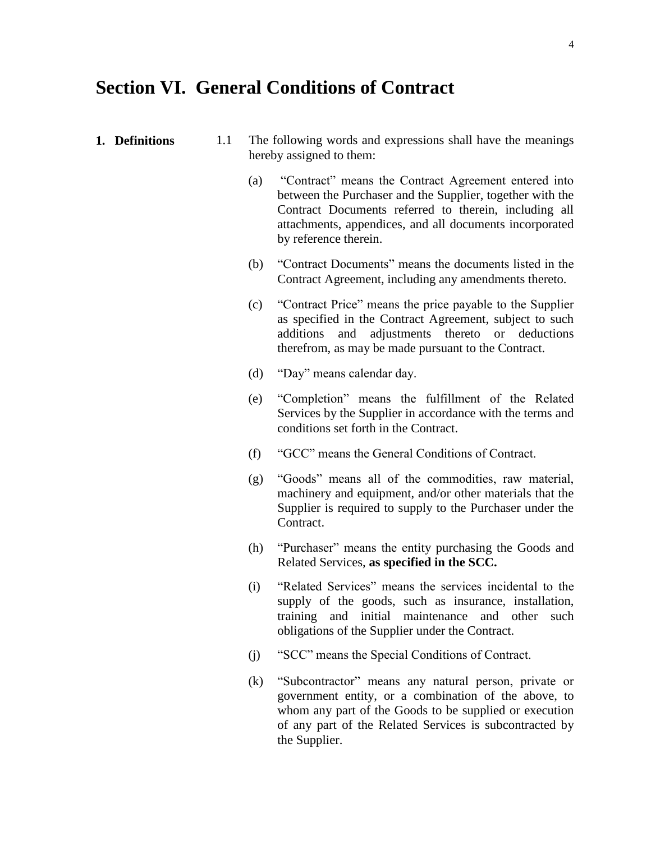### **Section VI. General Conditions of Contract**

- **1. Definitions** 1.1 The following words and expressions shall have the meanings hereby assigned to them:
	- (a) "Contract" means the Contract Agreement entered into between the Purchaser and the Supplier, together with the Contract Documents referred to therein, including all attachments, appendices, and all documents incorporated by reference therein.
	- (b) "Contract Documents" means the documents listed in the Contract Agreement, including any amendments thereto.
	- (c) "Contract Price" means the price payable to the Supplier as specified in the Contract Agreement, subject to such additions and adjustments thereto or deductions therefrom, as may be made pursuant to the Contract.
	- (d) "Day" means calendar day.
	- (e) "Completion" means the fulfillment of the Related Services by the Supplier in accordance with the terms and conditions set forth in the Contract.
	- (f) "GCC" means the General Conditions of Contract.
	- (g) "Goods" means all of the commodities, raw material, machinery and equipment, and/or other materials that the Supplier is required to supply to the Purchaser under the Contract.
	- (h) "Purchaser" means the entity purchasing the Goods and Related Services, **as specified in the SCC.**
	- (i) "Related Services" means the services incidental to the supply of the goods, such as insurance, installation, training and initial maintenance and other such obligations of the Supplier under the Contract.
	- (j) "SCC" means the Special Conditions of Contract.
	- (k) "Subcontractor" means any natural person, private or government entity, or a combination of the above, to whom any part of the Goods to be supplied or execution of any part of the Related Services is subcontracted by the Supplier.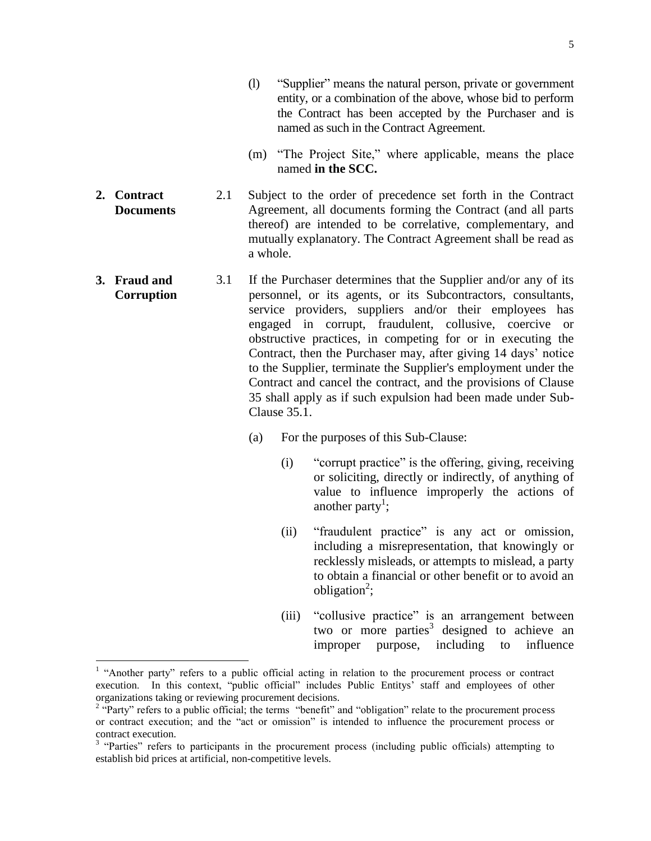- (l) "Supplier" means the natural person, private or government entity, or a combination of the above, whose bid to perform the Contract has been accepted by the Purchaser and is named as such in the Contract Agreement.
- (m) "The Project Site," where applicable, means the place named **in the SCC.**
- **2. Contract Documents** 2.1 Subject to the order of precedence set forth in the Contract Agreement, all documents forming the Contract (and all parts thereof) are intended to be correlative, complementary, and mutually explanatory. The Contract Agreement shall be read as a whole.
- **3. Fraud and Corruption**  3.1 If the Purchaser determines that the Supplier and/or any of its personnel, or its agents, or its Subcontractors, consultants, service providers, suppliers and/or their employees has engaged in corrupt, fraudulent, collusive, coercive or obstructive practices, in competing for or in executing the Contract, then the Purchaser may, after giving 14 days' notice to the Supplier, terminate the Supplier's employment under the Contract and cancel the contract, and the provisions of Clause 35 shall apply as if such expulsion had been made under Sub-Clause 35.1.
	- (a) For the purposes of this Sub-Clause:
		- (i) "corrupt practice" is the offering, giving, receiving or soliciting, directly or indirectly, of anything of value to influence improperly the actions of another party<sup>1</sup>;
		- (ii) "fraudulent practice" is any act or omission, including a misrepresentation, that knowingly or recklessly misleads, or attempts to mislead, a party to obtain a financial or other benefit or to avoid an obligation<sup>2</sup>;
		- (iii) "collusive practice" is an arrangement between two or more parties<sup>3</sup> designed to achieve an improper purpose, including to influence

 $\overline{a}$ 

<sup>&</sup>lt;sup>1</sup> "Another party" refers to a public official acting in relation to the procurement process or contract execution. In this context, "public official" includes Public Entitys' staff and employees of other organizations taking or reviewing procurement decisions.

<sup>&</sup>lt;sup>2</sup> "Party" refers to a public official; the terms "benefit" and "obligation" relate to the procurement process or contract execution; and the "act or omission" is intended to influence the procurement process or contract execution.

<sup>&</sup>lt;sup>3</sup> "Parties" refers to participants in the procurement process (including public officials) attempting to establish bid prices at artificial, non-competitive levels.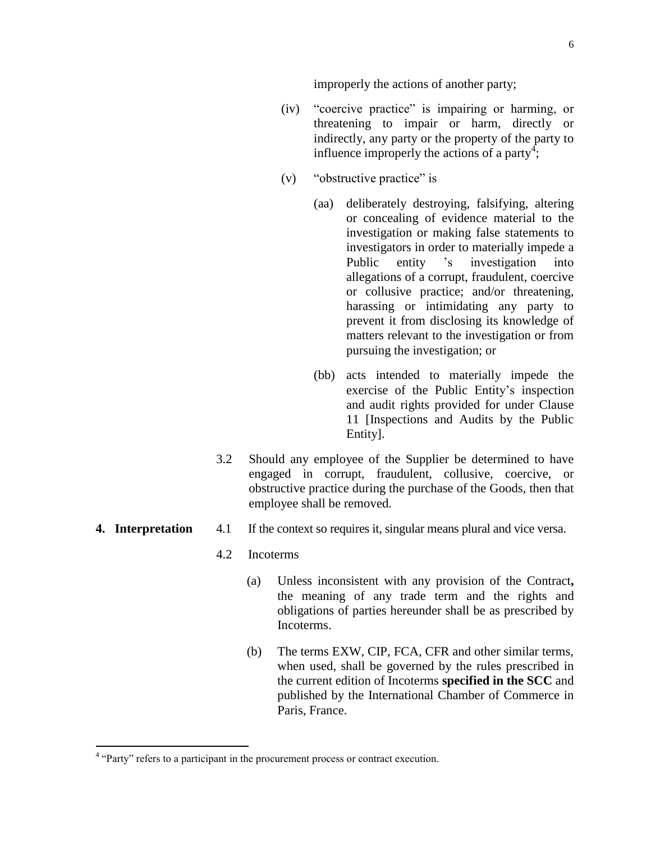improperly the actions of another party;

- (iv) "coercive practice" is impairing or harming, or threatening to impair or harm, directly or indirectly, any party or the property of the party to influence improperly the actions of a party<sup>4</sup>;
- (v) "obstructive practice" is
	- (aa) deliberately destroying, falsifying, altering or concealing of evidence material to the investigation or making false statements to investigators in order to materially impede a Public entity 's investigation into allegations of a corrupt, fraudulent, coercive or collusive practice; and/or threatening, harassing or intimidating any party to prevent it from disclosing its knowledge of matters relevant to the investigation or from pursuing the investigation; or
	- (bb) acts intended to materially impede the exercise of the Public Entity's inspection and audit rights provided for under Clause 11 [Inspections and Audits by the Public Entity].
- 3.2 Should any employee of the Supplier be determined to have engaged in corrupt, fraudulent, collusive, coercive, or obstructive practice during the purchase of the Goods, then that employee shall be removed.
- **4. Interpretation** 4.1 If the context so requires it, singular means plural and vice versa.
	- 4.2 Incoterms
		- (a) Unless inconsistent with any provision of the Contract**,** the meaning of any trade term and the rights and obligations of parties hereunder shall be as prescribed by Incoterms.
		- (b) The terms EXW, CIP, FCA, CFR and other similar terms, when used, shall be governed by the rules prescribed in the current edition of Incoterms **specified in the SCC** and published by the International Chamber of Commerce in Paris, France.

 $\overline{a}$ 

<sup>&</sup>lt;sup>4</sup> "Party" refers to a participant in the procurement process or contract execution.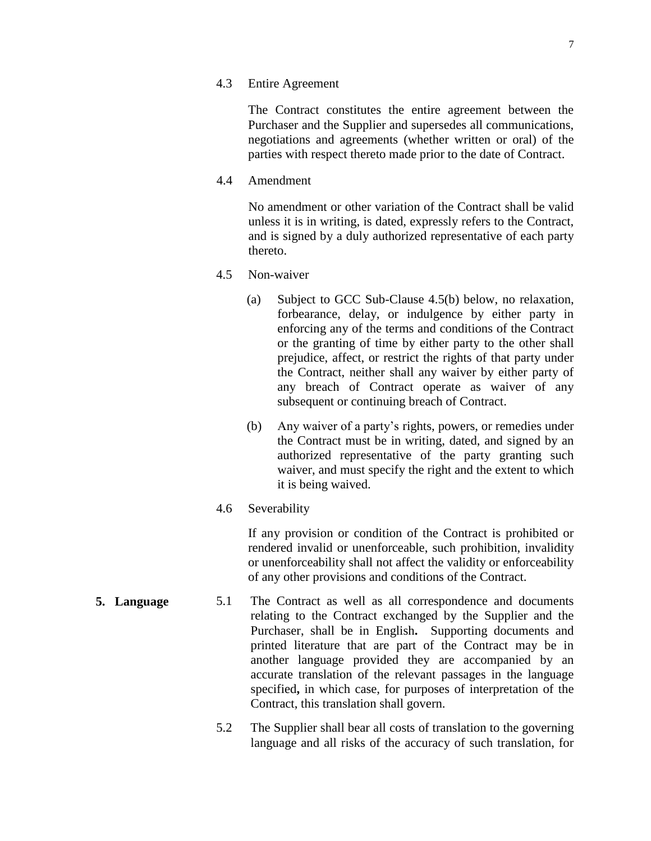The Contract constitutes the entire agreement between the Purchaser and the Supplier and supersedes all communications, negotiations and agreements (whether written or oral) of the parties with respect thereto made prior to the date of Contract.

4.4 Amendment

No amendment or other variation of the Contract shall be valid unless it is in writing, is dated, expressly refers to the Contract, and is signed by a duly authorized representative of each party thereto.

- 4.5 Non-waiver
	- (a) Subject to GCC Sub-Clause 4.5(b) below, no relaxation, forbearance, delay, or indulgence by either party in enforcing any of the terms and conditions of the Contract or the granting of time by either party to the other shall prejudice, affect, or restrict the rights of that party under the Contract, neither shall any waiver by either party of any breach of Contract operate as waiver of any subsequent or continuing breach of Contract.
	- (b) Any waiver of a party's rights, powers, or remedies under the Contract must be in writing, dated, and signed by an authorized representative of the party granting such waiver, and must specify the right and the extent to which it is being waived.
- 4.6 Severability

If any provision or condition of the Contract is prohibited or rendered invalid or unenforceable, such prohibition, invalidity or unenforceability shall not affect the validity or enforceability of any other provisions and conditions of the Contract.

- **5. Language** 5.1 The Contract as well as all correspondence and documents relating to the Contract exchanged by the Supplier and the Purchaser, shall be in English**.** Supporting documents and printed literature that are part of the Contract may be in another language provided they are accompanied by an accurate translation of the relevant passages in the language specified**,** in which case, for purposes of interpretation of the Contract, this translation shall govern.
	- 5.2 The Supplier shall bear all costs of translation to the governing language and all risks of the accuracy of such translation, for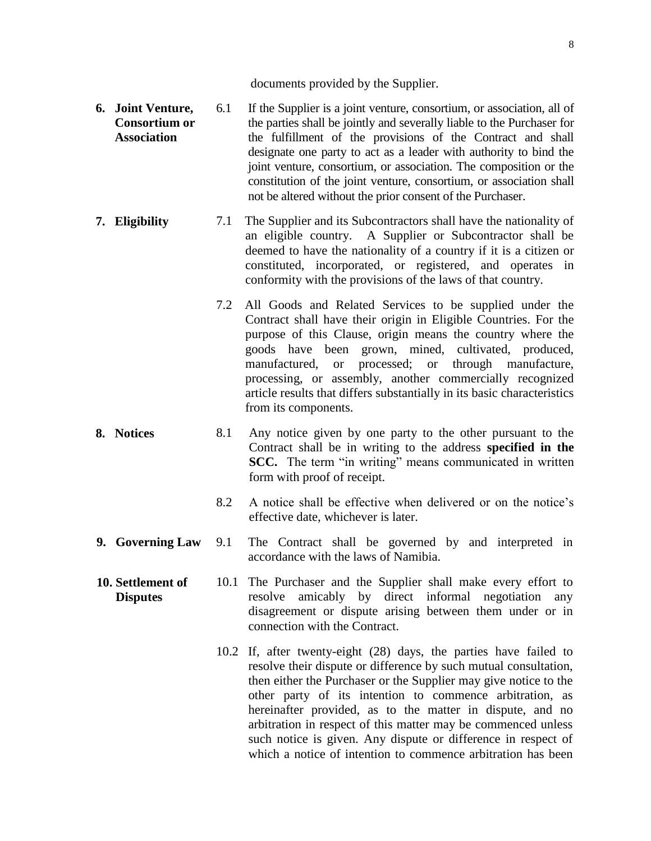documents provided by the Supplier.

- **6. Joint Venture, Consortium or Association** 6.1 If the Supplier is a joint venture, consortium, or association, all of the parties shall be jointly and severally liable to the Purchaser for the fulfillment of the provisions of the Contract and shall designate one party to act as a leader with authority to bind the joint venture, consortium, or association. The composition or the constitution of the joint venture, consortium, or association shall not be altered without the prior consent of the Purchaser.
- **7. Eligibility** 7.1 The Supplier and its Subcontractors shall have the nationality of an eligible country. A Supplier or Subcontractor shall be deemed to have the nationality of a country if it is a citizen or constituted, incorporated, or registered, and operates in conformity with the provisions of the laws of that country.
	- 7.2 All Goods and Related Services to be supplied under the Contract shall have their origin in Eligible Countries. For the purpose of this Clause, origin means the country where the goods have been grown, mined, cultivated, produced, manufactured, or processed; or through manufacture, processing, or assembly, another commercially recognized article results that differs substantially in its basic characteristics from its components.
- **8. Notices** 8.1 Any notice given by one party to the other pursuant to the Contract shall be in writing to the address **specified in the SCC.** The term "in writing" means communicated in written form with proof of receipt.
	- 8.2 A notice shall be effective when delivered or on the notice's effective date, whichever is later.
- **9. Governing Law** 9.1 The Contract shall be governed by and interpreted in accordance with the laws of Namibia.
- **10. Settlement of Disputes** 10.1 The Purchaser and the Supplier shall make every effort to resolve amicably by direct informal negotiation any disagreement or dispute arising between them under or in connection with the Contract.
	- 10.2 If, after twenty-eight (28) days, the parties have failed to resolve their dispute or difference by such mutual consultation, then either the Purchaser or the Supplier may give notice to the other party of its intention to commence arbitration, as hereinafter provided, as to the matter in dispute, and no arbitration in respect of this matter may be commenced unless such notice is given. Any dispute or difference in respect of which a notice of intention to commence arbitration has been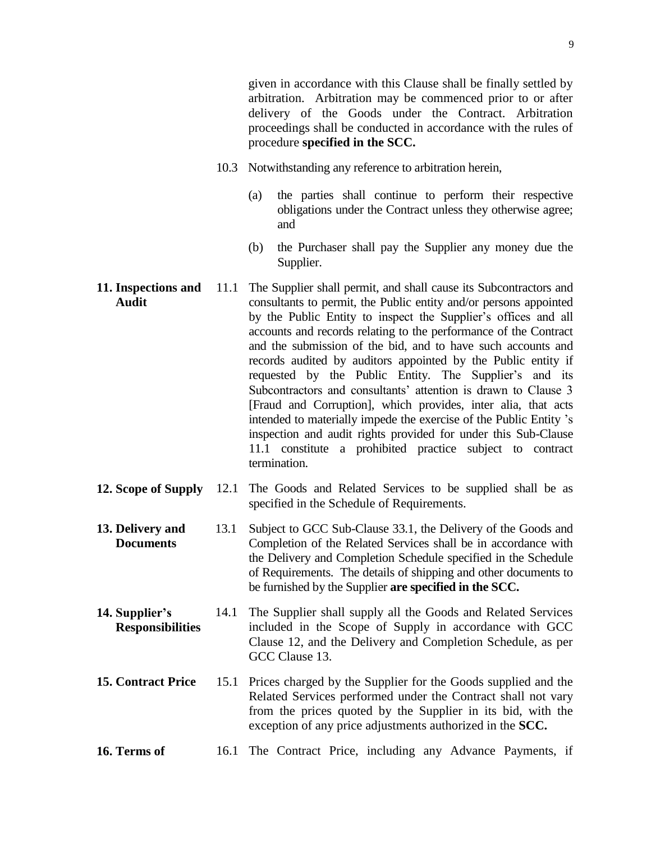given in accordance with this Clause shall be finally settled by arbitration. Arbitration may be commenced prior to or after delivery of the Goods under the Contract. Arbitration proceedings shall be conducted in accordance with the rules of procedure **specified in the SCC.** 

- 10.3 Notwithstanding any reference to arbitration herein,
	- (a) the parties shall continue to perform their respective obligations under the Contract unless they otherwise agree; and
	- (b) the Purchaser shall pay the Supplier any money due the Supplier.
- **11. Inspections and Audit**  11.1 The Supplier shall permit, and shall cause its Subcontractors and consultants to permit, the Public entity and/or persons appointed by the Public Entity to inspect the Supplier's offices and all accounts and records relating to the performance of the Contract and the submission of the bid, and to have such accounts and records audited by auditors appointed by the Public entity if requested by the Public Entity. The Supplier's and its Subcontractors and consultants' attention is drawn to Clause 3 [Fraud and Corruption], which provides, inter alia, that acts intended to materially impede the exercise of the Public Entity 's inspection and audit rights provided for under this Sub-Clause 11.1 constitute a prohibited practice subject to contract termination.
- **12. Scope of Supply** 12.1 The Goods and Related Services to be supplied shall be as specified in the Schedule of Requirements.
- **13. Delivery and Documents** 13.1 Subject to GCC Sub-Clause 33.1, the Delivery of the Goods and Completion of the Related Services shall be in accordance with the Delivery and Completion Schedule specified in the Schedule of Requirements. The details of shipping and other documents to be furnished by the Supplier **are specified in the SCC.**
- **14. Supplier's Responsibilities** 14.1 The Supplier shall supply all the Goods and Related Services included in the Scope of Supply in accordance with GCC Clause 12, and the Delivery and Completion Schedule, as per GCC Clause 13.
- **15. Contract Price** 15.1 Prices charged by the Supplier for the Goods supplied and the Related Services performed under the Contract shall not vary from the prices quoted by the Supplier in its bid, with the exception of any price adjustments authorized in the **SCC.**
- **16. Terms of** 16.1 The Contract Price, including any Advance Payments, if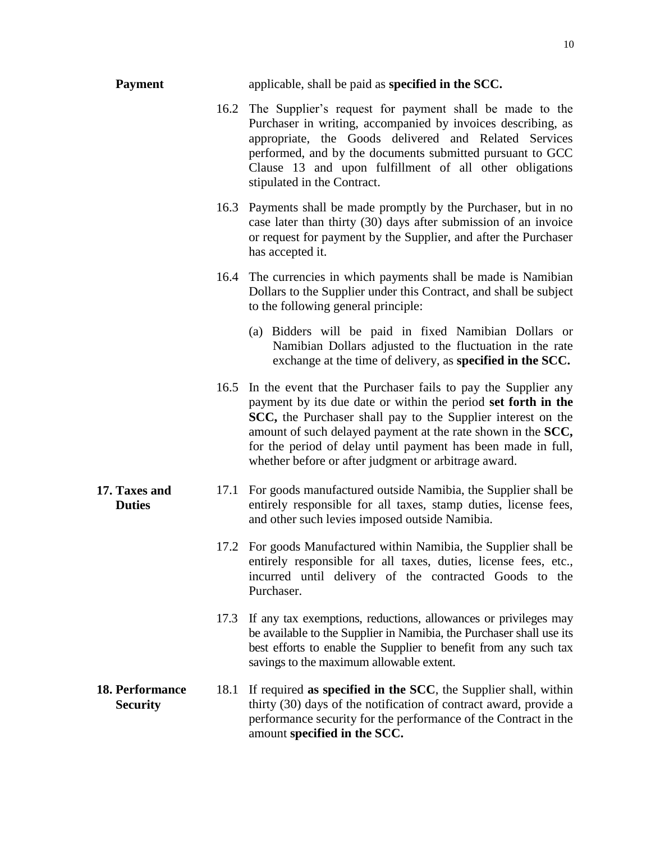| <b>Payment</b>                     |      | applicable, shall be paid as specified in the SCC.                                                                                                                                                                                                                                                                                                                                     |
|------------------------------------|------|----------------------------------------------------------------------------------------------------------------------------------------------------------------------------------------------------------------------------------------------------------------------------------------------------------------------------------------------------------------------------------------|
|                                    |      | 16.2 The Supplier's request for payment shall be made to the<br>Purchaser in writing, accompanied by invoices describing, as<br>appropriate, the Goods delivered and Related Services<br>performed, and by the documents submitted pursuant to GCC<br>Clause 13 and upon fulfillment of all other obligations<br>stipulated in the Contract.                                           |
|                                    | 16.3 | Payments shall be made promptly by the Purchaser, but in no<br>case later than thirty (30) days after submission of an invoice<br>or request for payment by the Supplier, and after the Purchaser<br>has accepted it.                                                                                                                                                                  |
|                                    |      | 16.4 The currencies in which payments shall be made is Namibian<br>Dollars to the Supplier under this Contract, and shall be subject<br>to the following general principle:                                                                                                                                                                                                            |
|                                    |      | (a) Bidders will be paid in fixed Namibian Dollars or<br>Namibian Dollars adjusted to the fluctuation in the rate<br>exchange at the time of delivery, as specified in the SCC.                                                                                                                                                                                                        |
|                                    | 16.5 | In the event that the Purchaser fails to pay the Supplier any<br>payment by its due date or within the period set forth in the<br>SCC, the Purchaser shall pay to the Supplier interest on the<br>amount of such delayed payment at the rate shown in the SCC,<br>for the period of delay until payment has been made in full,<br>whether before or after judgment or arbitrage award. |
| 17. Taxes and<br><b>Duties</b>     | 17.1 | For goods manufactured outside Namibia, the Supplier shall be<br>entirely responsible for all taxes, stamp duties, license fees,<br>and other such levies imposed outside Namibia.                                                                                                                                                                                                     |
|                                    |      | 17.2 For goods Manufactured within Namibia, the Supplier shall be<br>entirely responsible for all taxes, duties, license fees, etc.,<br>incurred until delivery of the contracted Goods to the<br>Purchaser.                                                                                                                                                                           |
|                                    | 17.3 | If any tax exemptions, reductions, allowances or privileges may<br>be available to the Supplier in Namibia, the Purchaser shall use its<br>best efforts to enable the Supplier to benefit from any such tax<br>savings to the maximum allowable extent.                                                                                                                                |
| 18. Performance<br><b>Security</b> | 18.1 | If required as specified in the SCC, the Supplier shall, within<br>thirty (30) days of the notification of contract award, provide a<br>performance security for the performance of the Contract in the<br>amount specified in the SCC.                                                                                                                                                |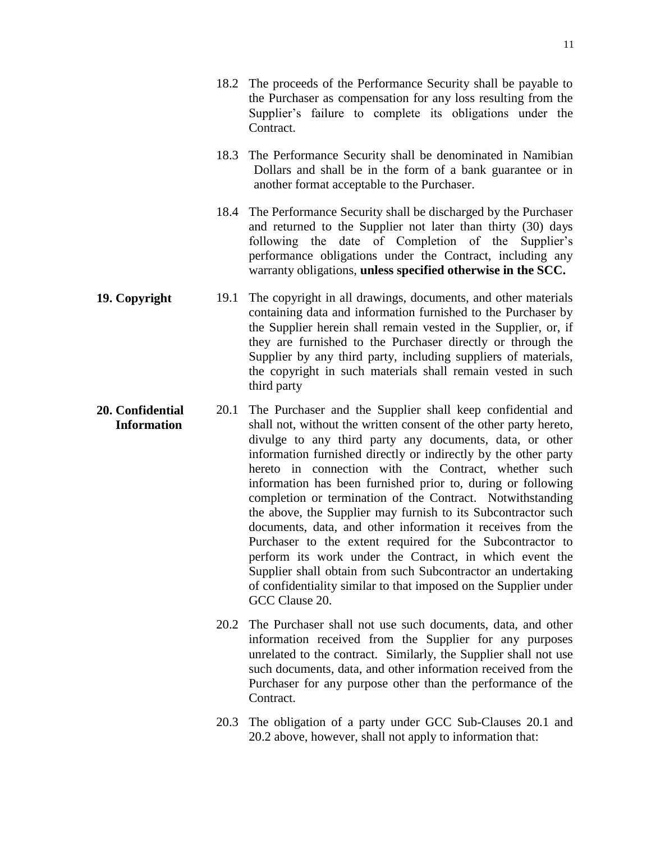- 18.2 The proceeds of the Performance Security shall be payable to the Purchaser as compensation for any loss resulting from the Supplier's failure to complete its obligations under the Contract.
- 18.3 The Performance Security shall be denominated in Namibian Dollars and shall be in the form of a bank guarantee or in another format acceptable to the Purchaser.
- 18.4 The Performance Security shall be discharged by the Purchaser and returned to the Supplier not later than thirty (30) days following the date of Completion of the Supplier's performance obligations under the Contract, including any warranty obligations, **unless specified otherwise in the SCC.**
- **19. Copyright** 19.1 The copyright in all drawings, documents, and other materials containing data and information furnished to the Purchaser by the Supplier herein shall remain vested in the Supplier, or, if they are furnished to the Purchaser directly or through the Supplier by any third party, including suppliers of materials, the copyright in such materials shall remain vested in such third party
- **20. Confidential Information** 20.1 The Purchaser and the Supplier shall keep confidential and shall not, without the written consent of the other party hereto, divulge to any third party any documents, data, or other information furnished directly or indirectly by the other party hereto in connection with the Contract, whether such information has been furnished prior to, during or following completion or termination of the Contract. Notwithstanding the above, the Supplier may furnish to its Subcontractor such documents, data, and other information it receives from the Purchaser to the extent required for the Subcontractor to perform its work under the Contract, in which event the Supplier shall obtain from such Subcontractor an undertaking of confidentiality similar to that imposed on the Supplier under GCC Clause 20.
	- 20.2 The Purchaser shall not use such documents, data, and other information received from the Supplier for any purposes unrelated to the contract. Similarly, the Supplier shall not use such documents, data, and other information received from the Purchaser for any purpose other than the performance of the Contract.
	- 20.3 The obligation of a party under GCC Sub-Clauses 20.1 and 20.2 above, however, shall not apply to information that: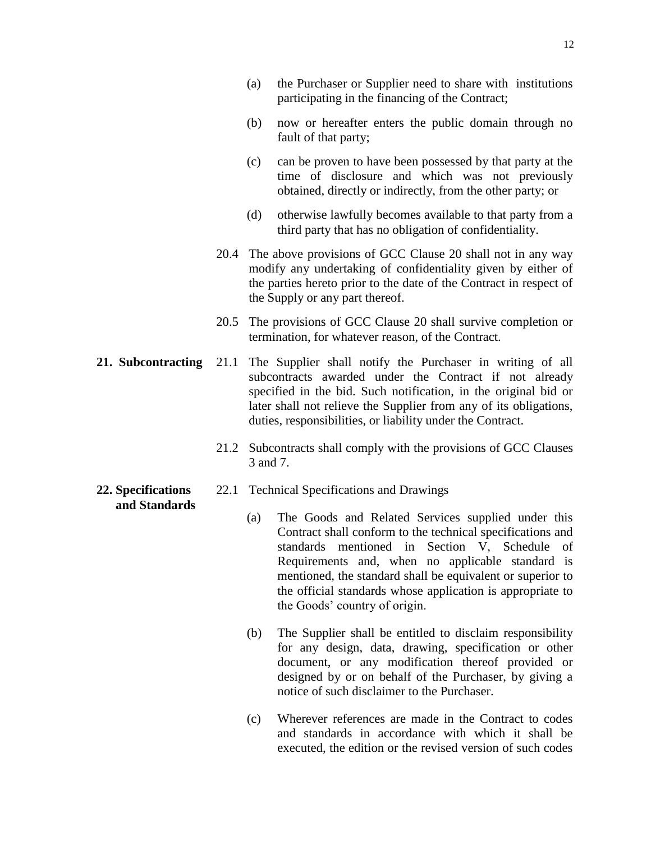- (a) the Purchaser or Supplier need to share with institutions participating in the financing of the Contract;
- (b) now or hereafter enters the public domain through no fault of that party;
- (c) can be proven to have been possessed by that party at the time of disclosure and which was not previously obtained, directly or indirectly, from the other party; or
- (d) otherwise lawfully becomes available to that party from a third party that has no obligation of confidentiality.
- 20.4 The above provisions of GCC Clause 20 shall not in any way modify any undertaking of confidentiality given by either of the parties hereto prior to the date of the Contract in respect of the Supply or any part thereof.
- 20.5 The provisions of GCC Clause 20 shall survive completion or termination, for whatever reason, of the Contract.
- **21. Subcontracting** 21.1 The Supplier shall notify the Purchaser in writing of all subcontracts awarded under the Contract if not already specified in the bid. Such notification, in the original bid or later shall not relieve the Supplier from any of its obligations, duties, responsibilities, or liability under the Contract.
	- 21.2 Subcontracts shall comply with the provisions of GCC Clauses 3 and 7.
	- 22.1 Technical Specifications and Drawings
		- (a) The Goods and Related Services supplied under this Contract shall conform to the technical specifications and standards mentioned in Section V, Schedule of Requirements and, when no applicable standard is mentioned, the standard shall be equivalent or superior to the official standards whose application is appropriate to the Goods' country of origin.
		- (b) The Supplier shall be entitled to disclaim responsibility for any design, data, drawing, specification or other document, or any modification thereof provided or designed by or on behalf of the Purchaser, by giving a notice of such disclaimer to the Purchaser.
		- (c) Wherever references are made in the Contract to codes and standards in accordance with which it shall be executed, the edition or the revised version of such codes

**22. Specifications and Standards**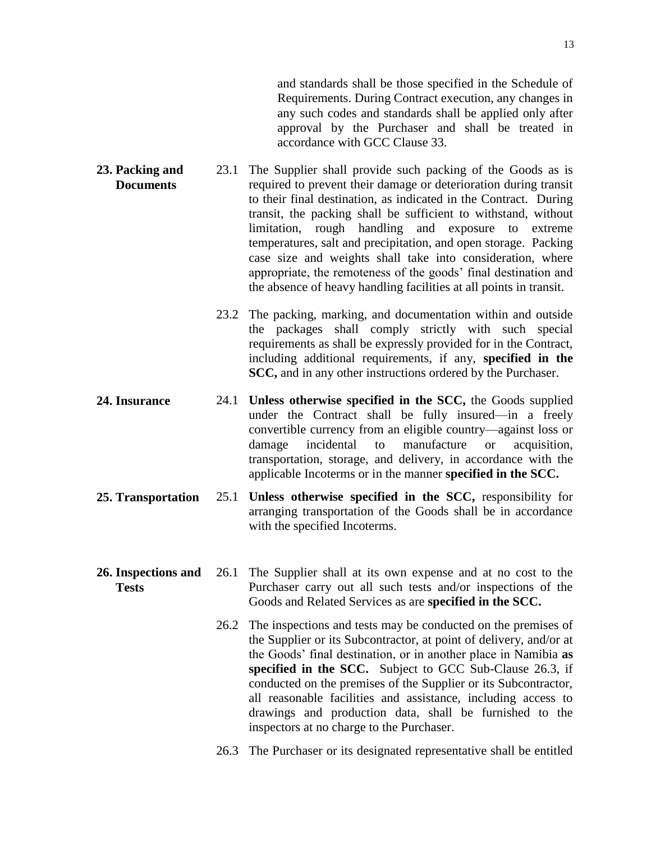and standards shall be those specified in the Schedule of Requirements. During Contract execution, any changes in any such codes and standards shall be applied only after approval by the Purchaser and shall be treated in accordance with GCC Clause 33.

- **23. Packing and Documents** 23.1 The Supplier shall provide such packing of the Goods as is required to prevent their damage or deterioration during transit to their final destination, as indicated in the Contract. During transit, the packing shall be sufficient to withstand, without limitation, rough handling and exposure to extreme temperatures, salt and precipitation, and open storage. Packing case size and weights shall take into consideration, where appropriate, the remoteness of the goods' final destination and the absence of heavy handling facilities at all points in transit.
	- 23.2 The packing, marking, and documentation within and outside the packages shall comply strictly with such special requirements as shall be expressly provided for in the Contract, including additional requirements, if any, **specified in the SCC,** and in any other instructions ordered by the Purchaser.
- **24. Insurance** 24.1 **Unless otherwise specified in the SCC,** the Goods supplied under the Contract shall be fully insured—in a freely convertible currency from an eligible country—against loss or damage incidental to manufacture or acquisition, transportation, storage, and delivery, in accordance with the applicable Incoterms or in the manner **specified in the SCC.**
- **25. Transportation** 25.1 **Unless otherwise specified in the SCC,** responsibility for arranging transportation of the Goods shall be in accordance with the specified Incoterms.
- **26. Inspections and Tests** 26.1 The Supplier shall at its own expense and at no cost to the Purchaser carry out all such tests and/or inspections of the Goods and Related Services as are **specified in the SCC.**
	- 26.2 The inspections and tests may be conducted on the premises of the Supplier or its Subcontractor, at point of delivery, and/or at the Goods' final destination, or in another place in Namibia **as specified in the SCC.** Subject to GCC Sub-Clause 26.3, if conducted on the premises of the Supplier or its Subcontractor, all reasonable facilities and assistance, including access to drawings and production data, shall be furnished to the inspectors at no charge to the Purchaser.
	- 26.3 The Purchaser or its designated representative shall be entitled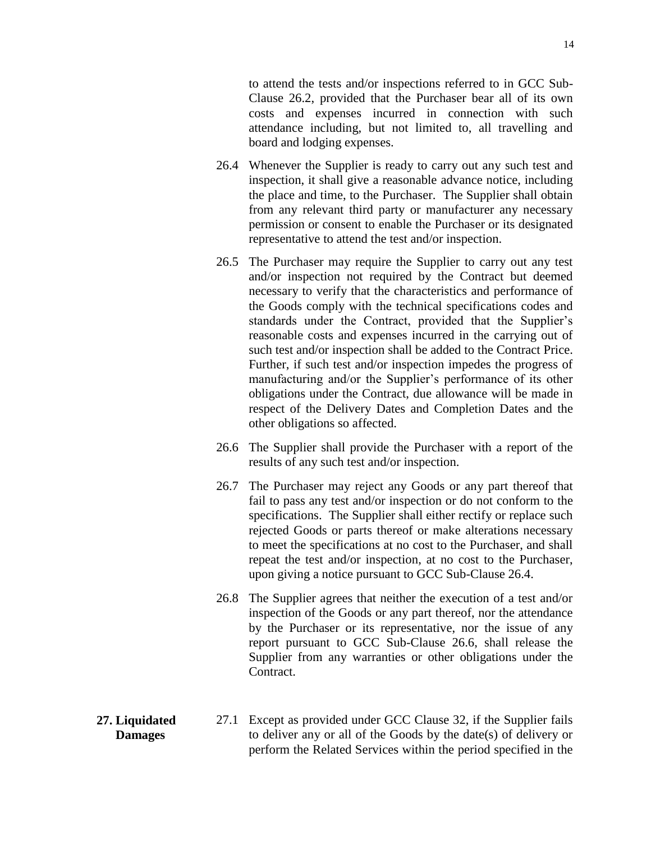to attend the tests and/or inspections referred to in GCC Sub-Clause 26.2, provided that the Purchaser bear all of its own costs and expenses incurred in connection with such attendance including, but not limited to, all travelling and board and lodging expenses.

- 26.4 Whenever the Supplier is ready to carry out any such test and inspection, it shall give a reasonable advance notice, including the place and time, to the Purchaser. The Supplier shall obtain from any relevant third party or manufacturer any necessary permission or consent to enable the Purchaser or its designated representative to attend the test and/or inspection.
- 26.5 The Purchaser may require the Supplier to carry out any test and/or inspection not required by the Contract but deemed necessary to verify that the characteristics and performance of the Goods comply with the technical specifications codes and standards under the Contract, provided that the Supplier's reasonable costs and expenses incurred in the carrying out of such test and/or inspection shall be added to the Contract Price. Further, if such test and/or inspection impedes the progress of manufacturing and/or the Supplier's performance of its other obligations under the Contract, due allowance will be made in respect of the Delivery Dates and Completion Dates and the other obligations so affected.
- 26.6 The Supplier shall provide the Purchaser with a report of the results of any such test and/or inspection.
- 26.7 The Purchaser may reject any Goods or any part thereof that fail to pass any test and/or inspection or do not conform to the specifications. The Supplier shall either rectify or replace such rejected Goods or parts thereof or make alterations necessary to meet the specifications at no cost to the Purchaser, and shall repeat the test and/or inspection, at no cost to the Purchaser, upon giving a notice pursuant to GCC Sub-Clause 26.4.
- 26.8 The Supplier agrees that neither the execution of a test and/or inspection of the Goods or any part thereof, nor the attendance by the Purchaser or its representative, nor the issue of any report pursuant to GCC Sub-Clause 26.6, shall release the Supplier from any warranties or other obligations under the Contract.
- **27. Liquidated Damages**
- 27.1 Except as provided under GCC Clause 32, if the Supplier fails to deliver any or all of the Goods by the date(s) of delivery or perform the Related Services within the period specified in the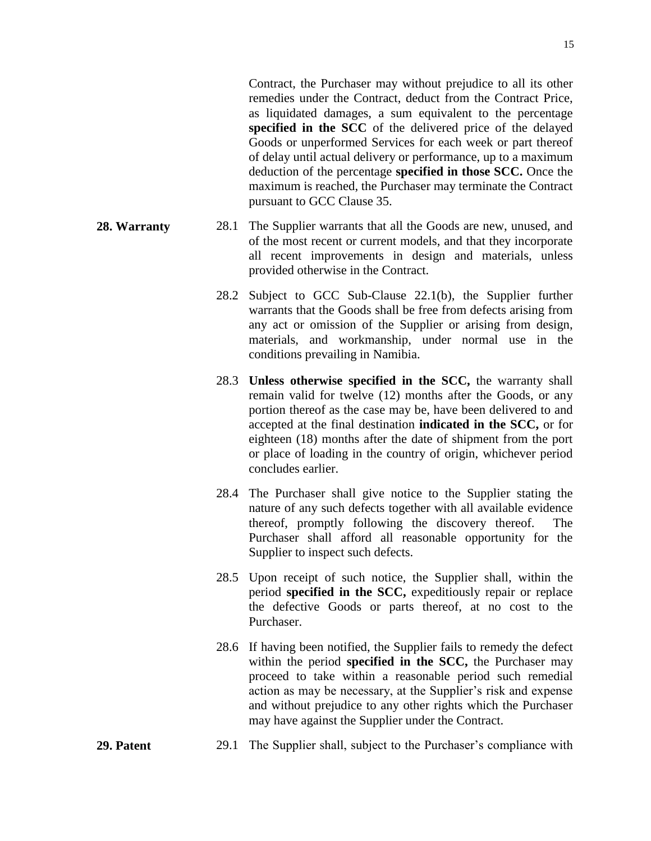Contract, the Purchaser may without prejudice to all its other remedies under the Contract, deduct from the Contract Price, as liquidated damages, a sum equivalent to the percentage **specified in the SCC** of the delivered price of the delayed Goods or unperformed Services for each week or part thereof of delay until actual delivery or performance, up to a maximum deduction of the percentage **specified in those SCC.** Once the maximum is reached, the Purchaser may terminate the Contract pursuant to GCC Clause 35.

- **28. Warranty** 28.1 The Supplier warrants that all the Goods are new, unused, and of the most recent or current models, and that they incorporate all recent improvements in design and materials, unless provided otherwise in the Contract.
	- 28.2 Subject to GCC Sub-Clause 22.1(b), the Supplier further warrants that the Goods shall be free from defects arising from any act or omission of the Supplier or arising from design, materials, and workmanship, under normal use in the conditions prevailing in Namibia.
	- 28.3 **Unless otherwise specified in the SCC,** the warranty shall remain valid for twelve (12) months after the Goods, or any portion thereof as the case may be, have been delivered to and accepted at the final destination **indicated in the SCC,** or for eighteen (18) months after the date of shipment from the port or place of loading in the country of origin, whichever period concludes earlier.
	- 28.4 The Purchaser shall give notice to the Supplier stating the nature of any such defects together with all available evidence thereof, promptly following the discovery thereof. The Purchaser shall afford all reasonable opportunity for the Supplier to inspect such defects.
	- 28.5 Upon receipt of such notice, the Supplier shall, within the period **specified in the SCC,** expeditiously repair or replace the defective Goods or parts thereof, at no cost to the Purchaser.
	- 28.6 If having been notified, the Supplier fails to remedy the defect within the period **specified in the SCC,** the Purchaser may proceed to take within a reasonable period such remedial action as may be necessary, at the Supplier's risk and expense and without prejudice to any other rights which the Purchaser may have against the Supplier under the Contract.
- **29. Patent** 29.1 The Supplier shall, subject to the Purchaser's compliance with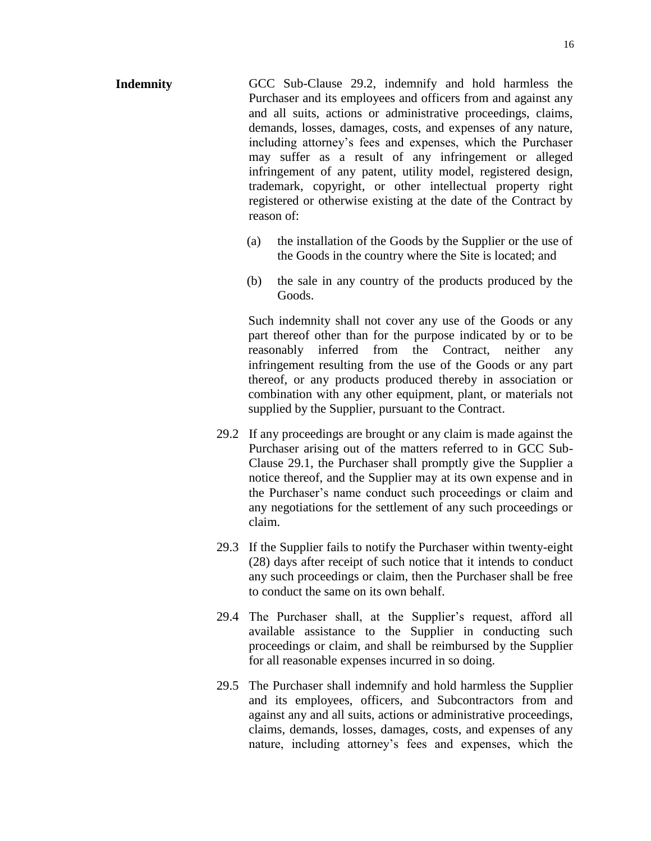16

- **Indemnity** GCC Sub-Clause 29.2, indemnify and hold harmless the Purchaser and its employees and officers from and against any and all suits, actions or administrative proceedings, claims, demands, losses, damages, costs, and expenses of any nature, including attorney's fees and expenses, which the Purchaser may suffer as a result of any infringement or alleged infringement of any patent, utility model, registered design, trademark, copyright, or other intellectual property right registered or otherwise existing at the date of the Contract by reason of:
	- (a) the installation of the Goods by the Supplier or the use of the Goods in the country where the Site is located; and
	- (b) the sale in any country of the products produced by the Goods.

Such indemnity shall not cover any use of the Goods or any part thereof other than for the purpose indicated by or to be reasonably inferred from the Contract, neither any infringement resulting from the use of the Goods or any part thereof, or any products produced thereby in association or combination with any other equipment, plant, or materials not supplied by the Supplier, pursuant to the Contract.

- 29.2 If any proceedings are brought or any claim is made against the Purchaser arising out of the matters referred to in GCC Sub-Clause 29.1, the Purchaser shall promptly give the Supplier a notice thereof, and the Supplier may at its own expense and in the Purchaser's name conduct such proceedings or claim and any negotiations for the settlement of any such proceedings or claim.
- 29.3 If the Supplier fails to notify the Purchaser within twenty-eight (28) days after receipt of such notice that it intends to conduct any such proceedings or claim, then the Purchaser shall be free to conduct the same on its own behalf.
- 29.4 The Purchaser shall, at the Supplier's request, afford all available assistance to the Supplier in conducting such proceedings or claim, and shall be reimbursed by the Supplier for all reasonable expenses incurred in so doing.
- 29.5 The Purchaser shall indemnify and hold harmless the Supplier and its employees, officers, and Subcontractors from and against any and all suits, actions or administrative proceedings, claims, demands, losses, damages, costs, and expenses of any nature, including attorney's fees and expenses, which the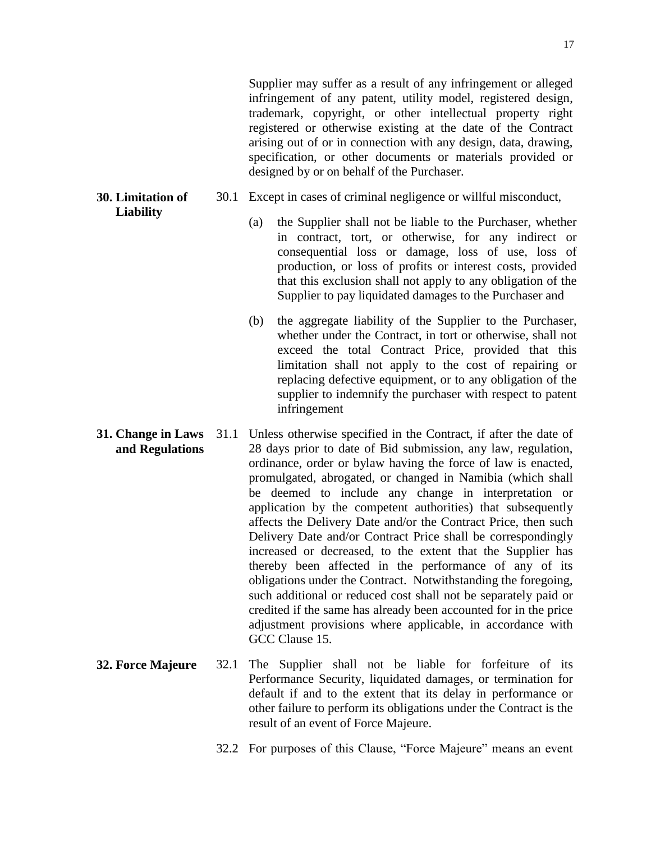Supplier may suffer as a result of any infringement or alleged infringement of any patent, utility model, registered design, trademark, copyright, or other intellectual property right registered or otherwise existing at the date of the Contract arising out of or in connection with any design, data, drawing, specification, or other documents or materials provided or designed by or on behalf of the Purchaser.

- **30. Limitation of Liability**
- 30.1 Except in cases of criminal negligence or willful misconduct,
	- (a) the Supplier shall not be liable to the Purchaser, whether in contract, tort, or otherwise, for any indirect or consequential loss or damage, loss of use, loss of production, or loss of profits or interest costs, provided that this exclusion shall not apply to any obligation of the Supplier to pay liquidated damages to the Purchaser and
	- (b) the aggregate liability of the Supplier to the Purchaser, whether under the Contract, in tort or otherwise, shall not exceed the total Contract Price, provided that this limitation shall not apply to the cost of repairing or replacing defective equipment, or to any obligation of the supplier to indemnify the purchaser with respect to patent infringement
- **31. Change in Laws and Regulations** 31.1 Unless otherwise specified in the Contract, if after the date of 28 days prior to date of Bid submission, any law, regulation, ordinance, order or bylaw having the force of law is enacted, promulgated, abrogated, or changed in Namibia (which shall be deemed to include any change in interpretation or application by the competent authorities) that subsequently affects the Delivery Date and/or the Contract Price, then such Delivery Date and/or Contract Price shall be correspondingly increased or decreased, to the extent that the Supplier has thereby been affected in the performance of any of its obligations under the Contract. Notwithstanding the foregoing, such additional or reduced cost shall not be separately paid or credited if the same has already been accounted for in the price adjustment provisions where applicable, in accordance with GCC Clause 15.
- **32. Force Majeure** 32.1 The Supplier shall not be liable for forfeiture of its Performance Security, liquidated damages, or termination for default if and to the extent that its delay in performance or other failure to perform its obligations under the Contract is the result of an event of Force Majeure.
	- 32.2 For purposes of this Clause, "Force Majeure" means an event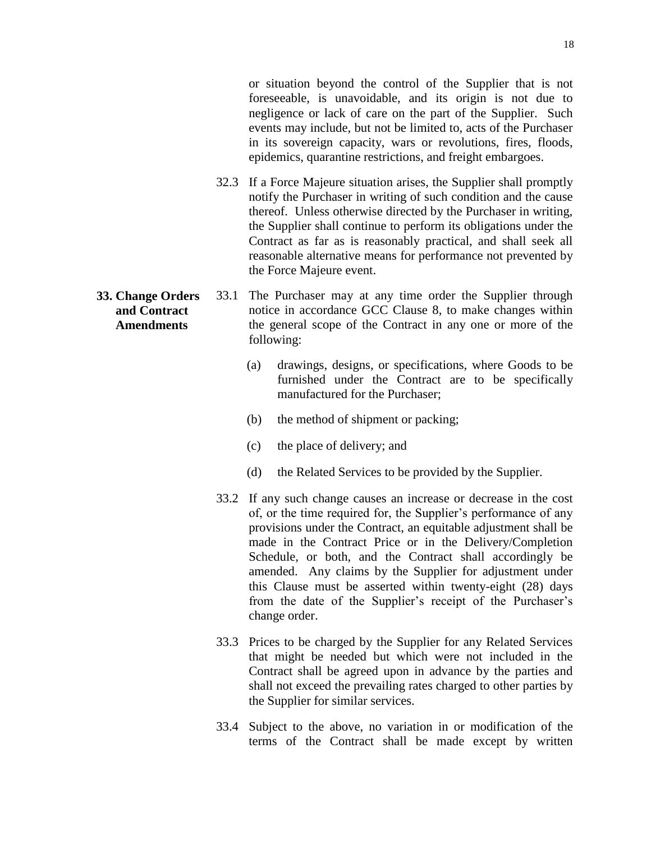or situation beyond the control of the Supplier that is not foreseeable, is unavoidable, and its origin is not due to negligence or lack of care on the part of the Supplier. Such events may include, but not be limited to, acts of the Purchaser in its sovereign capacity, wars or revolutions, fires, floods, epidemics, quarantine restrictions, and freight embargoes.

- 32.3 If a Force Majeure situation arises, the Supplier shall promptly notify the Purchaser in writing of such condition and the cause thereof. Unless otherwise directed by the Purchaser in writing, the Supplier shall continue to perform its obligations under the Contract as far as is reasonably practical, and shall seek all reasonable alternative means for performance not prevented by the Force Majeure event.
- **and Contract Amendments** 33.1 The Purchaser may at any time order the Supplier through notice in accordance GCC Clause 8, to make changes within the general scope of the Contract in any one or more of the following:
	- (a) drawings, designs, or specifications, where Goods to be furnished under the Contract are to be specifically manufactured for the Purchaser;
	- (b) the method of shipment or packing;
	- (c) the place of delivery; and
	- (d) the Related Services to be provided by the Supplier.
	- 33.2 If any such change causes an increase or decrease in the cost of, or the time required for, the Supplier's performance of any provisions under the Contract, an equitable adjustment shall be made in the Contract Price or in the Delivery/Completion Schedule, or both, and the Contract shall accordingly be amended. Any claims by the Supplier for adjustment under this Clause must be asserted within twenty-eight (28) days from the date of the Supplier's receipt of the Purchaser's change order.
	- 33.3 Prices to be charged by the Supplier for any Related Services that might be needed but which were not included in the Contract shall be agreed upon in advance by the parties and shall not exceed the prevailing rates charged to other parties by the Supplier for similar services.
	- 33.4 Subject to the above, no variation in or modification of the terms of the Contract shall be made except by written

**33. Change Orders**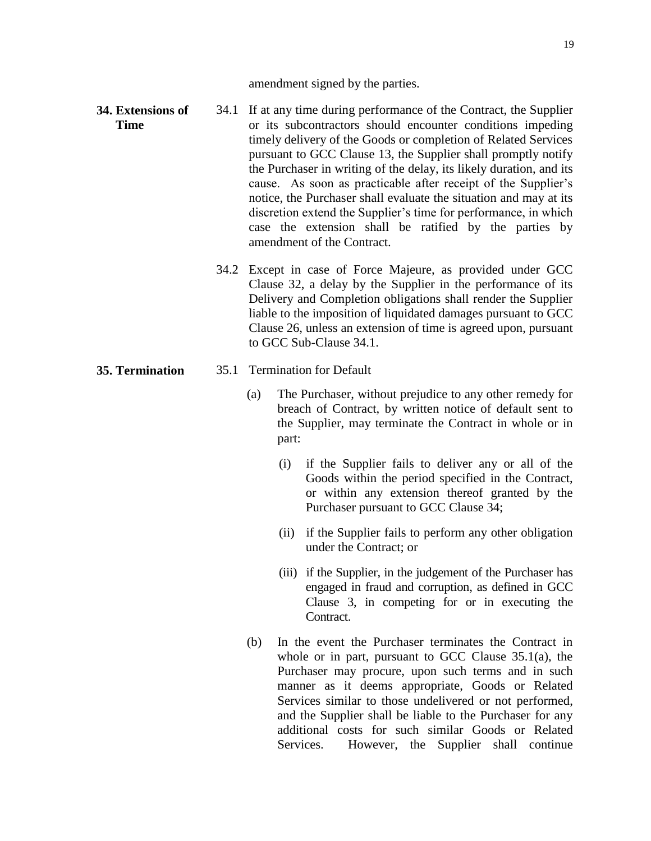- **34. Extensions of Time** 34.1 If at any time during performance of the Contract, the Supplier or its subcontractors should encounter conditions impeding timely delivery of the Goods or completion of Related Services pursuant to GCC Clause 13, the Supplier shall promptly notify the Purchaser in writing of the delay, its likely duration, and its cause. As soon as practicable after receipt of the Supplier's notice, the Purchaser shall evaluate the situation and may at its discretion extend the Supplier's time for performance, in which case the extension shall be ratified by the parties by amendment of the Contract.
	- 34.2 Except in case of Force Majeure, as provided under GCC Clause 32, a delay by the Supplier in the performance of its Delivery and Completion obligations shall render the Supplier liable to the imposition of liquidated damages pursuant to GCC Clause 26, unless an extension of time is agreed upon, pursuant to GCC Sub-Clause 34.1.

#### **35. Termination** 35.1 Termination for Default

- (a) The Purchaser, without prejudice to any other remedy for breach of Contract, by written notice of default sent to the Supplier, may terminate the Contract in whole or in part:
	- (i) if the Supplier fails to deliver any or all of the Goods within the period specified in the Contract, or within any extension thereof granted by the Purchaser pursuant to GCC Clause 34;
	- (ii) if the Supplier fails to perform any other obligation under the Contract; or
	- (iii) if the Supplier, in the judgement of the Purchaser has engaged in fraud and corruption, as defined in GCC Clause 3, in competing for or in executing the Contract.
- (b) In the event the Purchaser terminates the Contract in whole or in part, pursuant to GCC Clause 35.1(a), the Purchaser may procure, upon such terms and in such manner as it deems appropriate, Goods or Related Services similar to those undelivered or not performed, and the Supplier shall be liable to the Purchaser for any additional costs for such similar Goods or Related Services. However, the Supplier shall continue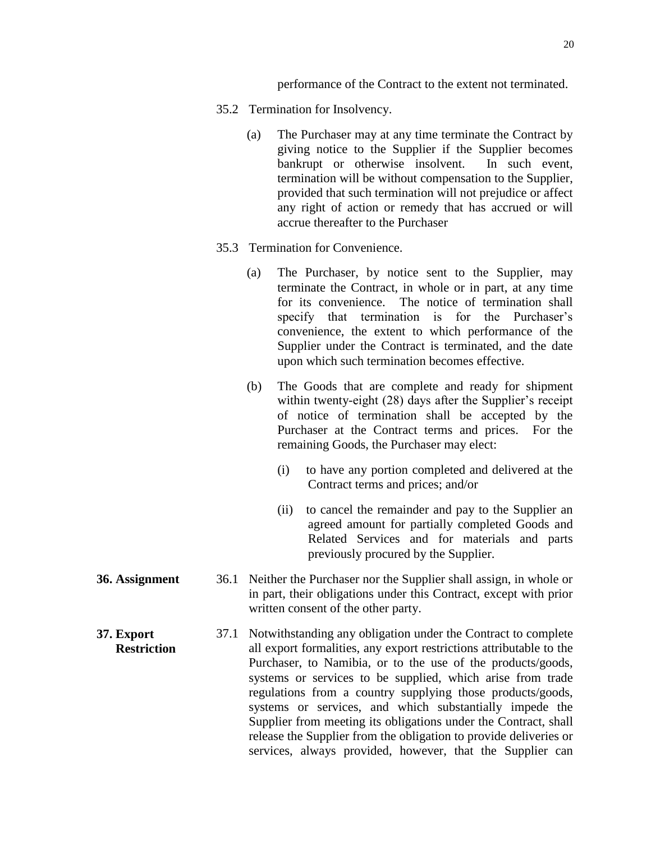performance of the Contract to the extent not terminated.

- 35.2 Termination for Insolvency.
	- (a) The Purchaser may at any time terminate the Contract by giving notice to the Supplier if the Supplier becomes bankrupt or otherwise insolvent. In such event, termination will be without compensation to the Supplier, provided that such termination will not prejudice or affect any right of action or remedy that has accrued or will accrue thereafter to the Purchaser
- 35.3 Termination for Convenience.
	- (a) The Purchaser, by notice sent to the Supplier, may terminate the Contract, in whole or in part, at any time for its convenience. The notice of termination shall specify that termination is for the Purchaser's convenience, the extent to which performance of the Supplier under the Contract is terminated, and the date upon which such termination becomes effective.
	- (b) The Goods that are complete and ready for shipment within twenty-eight (28) days after the Supplier's receipt of notice of termination shall be accepted by the Purchaser at the Contract terms and prices. For the remaining Goods, the Purchaser may elect:
		- (i) to have any portion completed and delivered at the Contract terms and prices; and/or
		- (ii) to cancel the remainder and pay to the Supplier an agreed amount for partially completed Goods and Related Services and for materials and parts previously procured by the Supplier.
- **36. Assignment** 36.1 Neither the Purchaser nor the Supplier shall assign, in whole or in part, their obligations under this Contract, except with prior written consent of the other party.
- **37. Export Restriction** 37.1 Notwithstanding any obligation under the Contract to complete all export formalities, any export restrictions attributable to the Purchaser, to Namibia, or to the use of the products/goods, systems or services to be supplied, which arise from trade regulations from a country supplying those products/goods, systems or services, and which substantially impede the Supplier from meeting its obligations under the Contract, shall release the Supplier from the obligation to provide deliveries or services, always provided, however, that the Supplier can